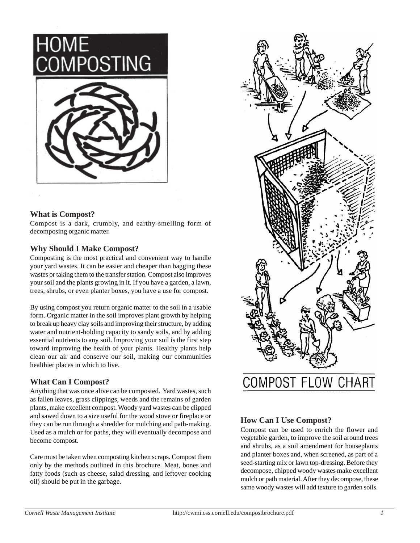HOME<br>COMPOSTING



### **What is Compost?**

Compost is a dark, crumbly, and earthy-smelling form of decomposing organic matter.

### **Why Should I Make Compost?**

Composting is the most practical and convenient way to handle your yard wastes. It can be easier and cheaper than bagging these wastes or taking them to the transfer station. Compost also improves your soil and the plants growing in it. If you have a garden, a lawn, trees, shrubs, or even planter boxes, you have a use for compost.

By using compost you return organic matter to the soil in a usable form. Organic matter in the soil improves plant growth by helping to break up heavy clay soils and improving their structure, by adding water and nutrient-holding capacity to sandy soils, and by adding essential nutrients to any soil. Improving your soil is the first step toward improving the health of your plants. Healthy plants help clean our air and conserve our soil, making our communities healthier places in which to live.

#### **What Can I Compost?**

Anything that was once alive can be composted. Yard wastes, such as fallen leaves, grass clippings, weeds and the remains of garden plants, make excellent compost. Woody yard wastes can be clipped and sawed down to a size useful for the wood stove or fireplace or they can be run through a shredder for mulching and path-making. Used as a mulch or for paths, they will eventually decompose and become compost.

Care must be taken when composting kitchen scraps. Compost them only by the methods outlined in this brochure. Meat, bones and fatty foods (such as cheese, salad dressing, and leftover cooking oil) should be put in the garbage.



### **How Can I Use Compost?**

Compost can be used to enrich the flower and vegetable garden, to improve the soil around trees and shrubs, as a soil amendment for houseplants and planter boxes and, when screened, as part of a seed-starting mix or lawn top-dressing. Before they decompose, chipped woody wastes make excellent mulch or path material. After they decompose, these same woody wastes will add texture to garden soils.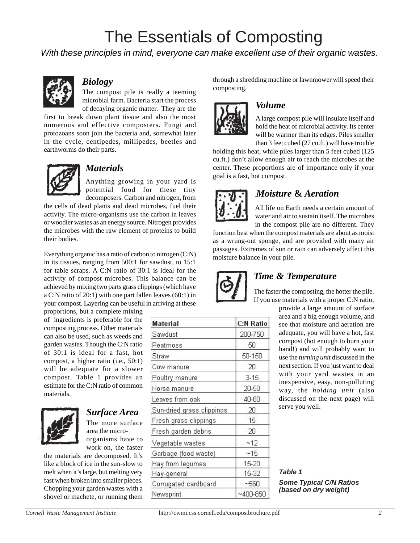# The Essentials of Composting

*With these principles in mind, everyone can make excellent use of their organic wastes.*



### *Biology*

The compost pile is really a teeming microbial farm. Bacteria start the process of decaying organic matter. They are the

first to break down plant tissue and also the most numerous and effective composters. Fungi and protozoans soon join the bacteria and, somewhat later in the cycle, centipedes, millipedes, beetles and earthworms do their parts.



### *Materials*

Anything growing in your yard is potential food for these tiny decomposers. Carbon and nitrogen, from

the cells of dead plants and dead microbes, fuel their activity. The micro-organisms use the carbon in leaves or woodier wastes as an energy source. Nitrogen provides the microbes with the raw element of proteins to build their bodies.

Everything organic has a ratio of carbon to nitrogen (C:N) in its tissues, ranging from 500:1 for sawdust, to 15:1 for table scraps. A C:N ratio of 30:1 is ideal for the activity of compost microbes. This balance can be achieved by mixing two parts grass clippings (which have a C:N ratio of 20:1) with one part fallen leaves (60:1) in your compost. Layering can be useful in arriving at these

proportions, but a complete mixing of ingredients is preferable for the composting process. Other materials can also be used, such as weeds and garden wastes. Though the C:N ratio of 30:1 is ideal for a fast, hot compost, a higher ratio (i.e., 50:1) will be adequate for a slower compost. Table 1 provides an estimate for the C:N ratio of common materials.



## *Surface Area*

The more surface area the microorganisms have to work on, the faster

the materials are decomposed. It's like a block of ice in the sun-slow to melt when it's large, but melting very fast when broken into smaller pieces. Chopping your garden wastes with a shovel or machete, or running them

| Material                  | C:N Ratio    |
|---------------------------|--------------|
| Sawdust                   | 200-750      |
| Peatmoss                  | 50           |
| Straw                     | 50-150       |
| Cow manure                | 20           |
| Poultry manure            | $3-15$       |
| Horse manure              | 20-50        |
| Leaves from oak           | 40-80        |
| Sun-dried grass clippings | 20           |
| Fresh grass clippings     | 15           |
| Fresh garden debris       | 20           |
| Vegetable wastes          | ~12          |
| Garbage (food waste)      | ~15          |
| Hay from legumes          | 15-20        |
| Hay-general               | 15-32        |
| Corrugated cardboard      | $-560$       |
| Newsprint                 | $~100 - 850$ |

through a shredding machine or lawnmower will speed their composting.



### *Volume*

A large compost pile will insulate itself and hold the heat of microbial activity. Its center will be warmer than its edges. Piles smaller than 3 feet cubed (27 cu.ft.) will have trouble

holding this heat, while piles larger than 5 feet cubed (125) cu.ft.) don't allow enough air to reach the microbes at the center. These proportions are of importance only if your goal is a fast, hot compost.



### .*Moisture* **&** *Aeration*

All life on Earth needs a certain amount of water and air to sustain itself. The microbes in the compost pile are no different. They

function best when the compost materials are about as moist as a wrung-out sponge, and are provided with many air passages. Extremes of sun or rain can adversely affect this moisture balance in your pile.



### *Time & Temperature*

The faster the composting, the hotter the pile. If you use materials with a proper C:N ratio,

> provide a large amount of surface area and a big enough volume, and see that moisture and aeration are adequate, you will have a hot, fast compost (hot enough to burn your hand!) and will probably want to use the *turning unit* discussed in the next section. If you just want to deal with your yard wastes in an inexpensive, easy, non-polluting way, the *holding unit* (also discussed on the next page) will serve you well.

*Table 1 Some Typical C/N Ratios (based on dry weight)*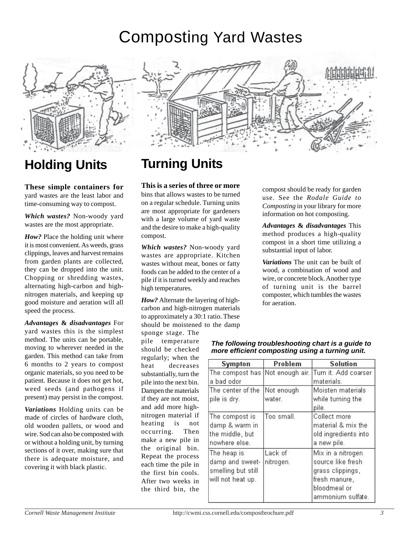# Composting Yard Wastes



## **Holding Units**

**These simple containers for** yard wastes are the least labor and time-consuming way to compost.

*Which wastes?* Non-woody yard wastes are the most appropriate.

*How?* Place the holding unit where it is most convenient. As weeds, grass clippings, leaves and harvest remains from garden plants are collected, they can be dropped into the unit. Chopping or shredding wastes, alternating high-carbon and highnitrogen materials, and keeping up good moisture and aeration will all speed the process.

*Advantages* **&** *disadvantages* For yard wastes this is the simplest method. The units can be portable, moving to wherever needed in the garden. This method can take from 6 months to 2 years to compost organic materials, so you need to be patient. Because it does not get hot, weed seeds (and pathogens if present) may persist in the compost.

*Variations* Holding units can be made of circles of hardware cloth, old wooden pallets, or wood and wire. Sod can also be composted with or without a holding unit, by turning sections of it over, making sure that there is adequate moisture, and covering it with black plastic.



## **Turning Units**

#### **This is a series of three or more**

bins that allows wastes to be turned on a regular schedule. Turning units are most appropriate for gardeners with a large volume of yard waste and the desire to make a high-quality compost.

*Which wastes?* Non-woody yard wastes are appropriate. Kitchen wastes without meat, bones or fatty foods can be added to the center of a pile if it is turned weekly and reaches high temperatures.

*How?* Alternate the layering of highcarbon and high-nitrogen materials to approximately a 30:1 ratio. These should be moistened to the damp

sponge stage. The pile temperature should be checked regularly; when the heat decreases substantially, turn the pile into the next bin. Dampen the materials if they are not moist, and add more highnitrogen material if heating is not occurring. Then make a new pile in the original bin. Repeat the process each time the pile in the first bin cools. After two weeks in the third bin, the

compost should be ready for garden use. See the *Rodale Guide to Composting* in your library for more information on hot composting.

*Advantages* **&** *disadvantages* This method produces a high-quality compost in a short time utilizing a substantial input of labor.

*Variations* The unit can be built of wood, a combination of wood and wire, or concrete block. Another type of turning unit is the barrel composter, which tumbles the wastes for aeration.

| <b>Sympton</b>                                                            | Problem              | <b>Solution</b>                                                                                                  |
|---------------------------------------------------------------------------|----------------------|------------------------------------------------------------------------------------------------------------------|
| a bad odor                                                                |                      | The compost has Not enough air. Turn it. Add coarser.<br>materials.                                              |
| The center of the<br>pile is dry.                                         | Not enough<br>water. | Moisten materials<br>while turning the<br>pile.                                                                  |
| The compost is<br>damp & warm in<br>the middle, but<br>nowhere else.      | Too small.           | Collect more<br>material & mix the<br>old ingredients into<br>a new pile.                                        |
| The heap is<br>damp and sweet-<br>smelling but still<br>will not heat up. | Lack of<br>nitrogen. | Mix in a nitrogen<br>source like fresh<br>grass clippings,<br>fresh manure,<br>bloodmeal or<br>ammonium sulfate. |

#### *The following troubleshooting chart is a guide to more efficient composting using a turning unit.*